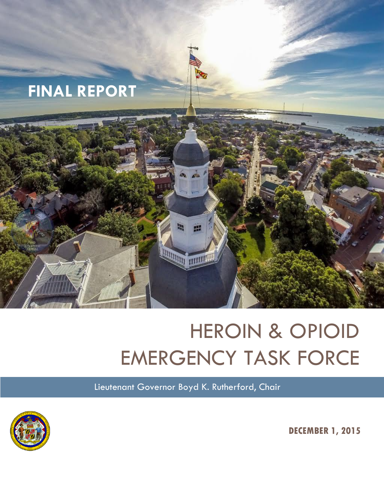

# HEROIN & OPIOID EMERGENCY TASK FORCE

Lieutenant Governor Boyd K. Rutherford, Chair



**DECEMBER 1, 2015**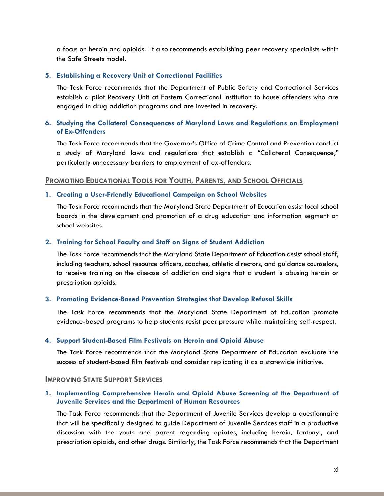a focus on heroin and opioids. It also recommends establishing peer recovery specialists within the Safe Streets model.

# **5. Establishing a Recovery Unit at Correctional Facilities**

The Task Force recommends that the Department of Public Safety and Correctional Services establish a pilot Recovery Unit at Eastern Correctional Institution to house offenders who are engaged in drug addiction programs and are invested in recovery.

# **6. Studying the Collateral Consequences of Maryland Laws and Regulations on Employment of Ex-Offenders**

The Task Force recommends that the Governor's Office of Crime Control and Prevention conduct a study of Maryland laws and regulations that establish a "Collateral Consequence," particularly unnecessary barriers to employment of ex-offenders.

# **PROMOTING EDUCATIONAL TOOLS FOR YOUTH, PARENTS, AND SCHOOL OFFICIALS**

# **1. Creating a User-Friendly Educational Campaign on School Websites**

The Task Force recommends that the Maryland State Department of Education assist local school boards in the development and promotion of a drug education and information segment on school websites.

# **2. Training for School Faculty and Staff on Signs of Student Addiction**

The Task Force recommends that the Maryland State Department of Education assist school staff, including teachers, school resource officers, coaches, athletic directors, and guidance counselors, to receive training on the disease of addiction and signs that a student is abusing heroin or prescription opioids.

#### **3. Promoting Evidence-Based Prevention Strategies that Develop Refusal Skills**

The Task Force recommends that the Maryland State Department of Education promote evidence-based programs to help students resist peer pressure while maintaining self-respect.

#### **4. Support Student-Based Film Festivals on Heroin and Opioid Abuse**

The Task Force recommends that the Maryland State Department of Education evaluate the success of student-based film festivals and consider replicating it as a statewide initiative.

#### **IMPROVING STATE SUPPORT SERVICES**

# **1. Implementing Comprehensive Heroin and Opioid Abuse Screening at the Department of Juvenile Services and the Department of Human Resources**

The Task Force recommends that the Department of Juvenile Services develop a questionnaire that will be specifically designed to guide Department of Juvenile Services staff in a productive discussion with the youth and parent regarding opiates, including heroin, fentanyl, and prescription opioids, and other drugs. Similarly, the Task Force recommends that the Department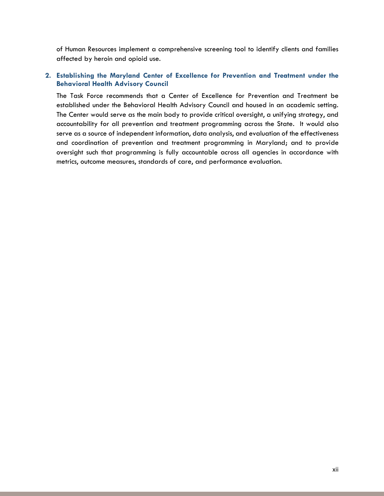of Human Resources implement a comprehensive screening tool to identify clients and families affected by heroin and opioid use.

# **2. Establishing the Maryland Center of Excellence for Prevention and Treatment under the Behavioral Health Advisory Council**

The Task Force recommends that a Center of Excellence for Prevention and Treatment be established under the Behavioral Health Advisory Council and housed in an academic setting. The Center would serve as the main body to provide critical oversight, a unifying strategy, and accountability for all prevention and treatment programming across the State. It would also serve as a source of independent information, data analysis, and evaluation of the effectiveness and coordination of prevention and treatment programming in Maryland; and to provide oversight such that programming is fully accountable across all agencies in accordance with metrics, outcome measures, standards of care, and performance evaluation.